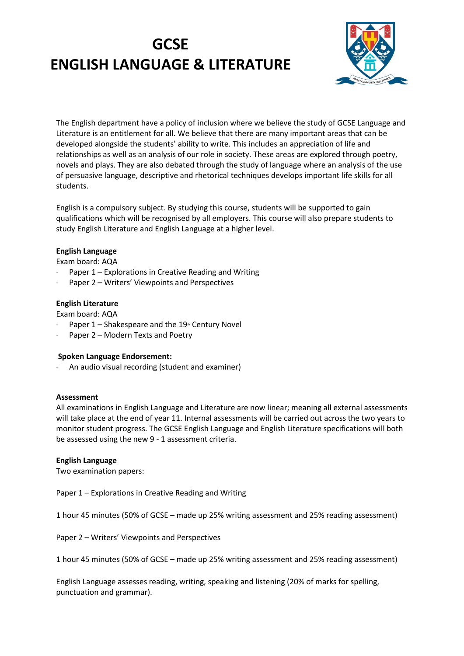# **GCSE ENGLISH LANGUAGE & LITERATURE**



The English department have a policy of inclusion where we believe the study of GCSE Language and Literature is an entitlement for all. We believe that there are many important areas that can be developed alongside the students' ability to write. This includes an appreciation of life and relationships as well as an analysis of our role in society. These areas are explored through poetry, novels and plays. They are also debated through the study of language where an analysis of the use of persuasive language, descriptive and rhetorical techniques develops important life skills for all students.

English is a compulsory subject. By studying this course, students will be supported to gain qualifications which will be recognised by all employers. This course will also prepare students to study English Literature and English Language at a higher level.

# **English Language**

Exam board: AQA

- Paper 1 Explorations in Creative Reading and Writing
- Paper 2 Writers' Viewpoints and Perspectives

# **English Literature**

Exam board: AQA

- Paper  $1$  Shakespeare and the  $19$ <sup>th</sup> Century Novel
- Paper 2 Modern Texts and Poetry

#### **Spoken Language Endorsement:**

An audio visual recording (student and examiner)

#### **Assessment**

All examinations in English Language and Literature are now linear; meaning all external assessments will take place at the end of year 11. Internal assessments will be carried out across the two years to monitor student progress. The GCSE English Language and English Literature specifications will both be assessed using the new 9 - 1 assessment criteria.

#### **English Language**

Two examination papers:

Paper 1 – Explorations in Creative Reading and Writing

1 hour 45 minutes (50% of GCSE – made up 25% writing assessment and 25% reading assessment)

Paper 2 – Writers' Viewpoints and Perspectives

1 hour 45 minutes (50% of GCSE – made up 25% writing assessment and 25% reading assessment)

English Language assesses reading, writing, speaking and listening (20% of marks for spelling, punctuation and grammar).